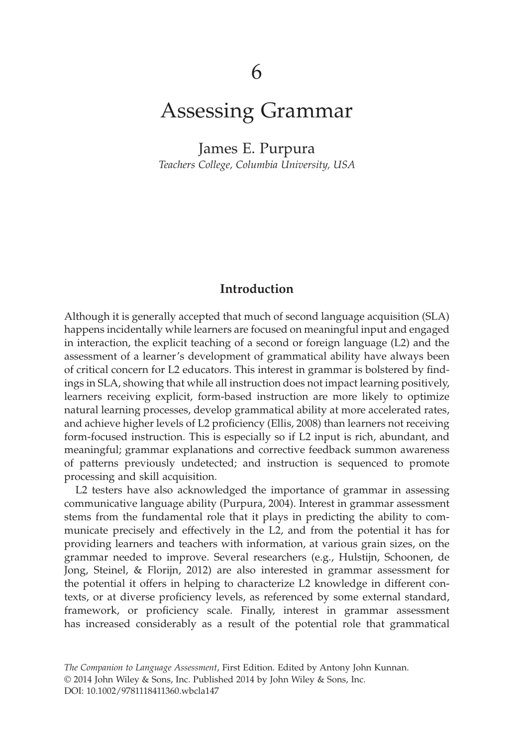# Assessing Grammar

James E. Purpura *Teachers College, Columbia University, USA*

# **Introduction**

Although it is generally accepted that much of second language acquisition (SLA) happens incidentally while learners are focused on meaningful input and engaged in interaction, the explicit teaching of a second or foreign language (L2) and the assessment of a learner's development of grammatical ability have always been of critical concern for L2 educators. This interest in grammar is bolstered by findings in SLA, showing that while all instruction does not impact learning positively, learners receiving explicit, form-based instruction are more likely to optimize natural learning processes, develop grammatical ability at more accelerated rates, and achieve higher levels of L2 proficiency (Ellis, 2008) than learners not receiving form-focused instruction. This is especially so if L2 input is rich, abundant, and meaningful; grammar explanations and corrective feedback summon awareness of patterns previously undetected; and instruction is sequenced to promote processing and skill acquisition.

L2 testers have also acknowledged the importance of grammar in assessing communicative language ability (Purpura, 2004). Interest in grammar assessment stems from the fundamental role that it plays in predicting the ability to communicate precisely and effectively in the L2, and from the potential it has for providing learners and teachers with information, at various grain sizes, on the grammar needed to improve. Several researchers (e.g., Hulstijn, Schoonen, de Jong, Steinel, & Florijn, 2012) are also interested in grammar assessment for the potential it offers in helping to characterize L2 knowledge in different contexts, or at diverse proficiency levels, as referenced by some external standard, framework, or proficiency scale. Finally, interest in grammar assessment has increased considerably as a result of the potential role that grammatical

*The Companion to Language Assessment*, First Edition. Edited by Antony John Kunnan. © 2014 John Wiley & Sons, Inc. Published 2014 by John Wiley & Sons, Inc. DOI: 10.1002/9781118411360.wbcla147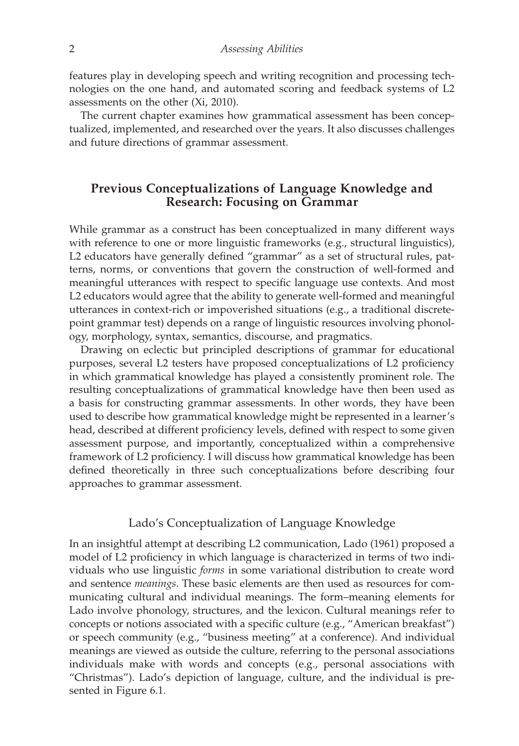features play in developing speech and writing recognition and processing technologies on the one hand, and automated scoring and feedback systems of L2 assessments on the other (Xi, 2010).

The current chapter examines how grammatical assessment has been conceptualized, implemented, and researched over the years. It also discusses challenges and future directions of grammar assessment.

# **Previous Conceptualizations of Language Knowledge and Research: Focusing on Grammar**

While grammar as a construct has been conceptualized in many different ways with reference to one or more linguistic frameworks (e.g., structural linguistics), L2 educators have generally defined "grammar" as a set of structural rules, patterns, norms, or conventions that govern the construction of well-formed and meaningful utterances with respect to specific language use contexts. And most L2 educators would agree that the ability to generate well-formed and meaningful utterances in context-rich or impoverished situations (e.g., a traditional discretepoint grammar test) depends on a range of linguistic resources involving phonology, morphology, syntax, semantics, discourse, and pragmatics.

Drawing on eclectic but principled descriptions of grammar for educational purposes, several L2 testers have proposed conceptualizations of L2 proficiency in which grammatical knowledge has played a consistently prominent role. The resulting conceptualizations of grammatical knowledge have then been used as a basis for constructing grammar assessments. In other words, they have been used to describe how grammatical knowledge might be represented in a learner's head, described at different proficiency levels, defined with respect to some given assessment purpose, and importantly, conceptualized within a comprehensive framework of L2 proficiency. I will discuss how grammatical knowledge has been defined theoretically in three such conceptualizations before describing four approaches to grammar assessment.

# Lado's Conceptualization of Language Knowledge

In an insightful attempt at describing L2 communication, Lado (1961) proposed a model of L2 proficiency in which language is characterized in terms of two individuals who use linguistic *forms* in some variational distribution to create word and sentence *meanings*. These basic elements are then used as resources for communicating cultural and individual meanings. The form–meaning elements for Lado involve phonology, structures, and the lexicon. Cultural meanings refer to concepts or notions associated with a specific culture (e.g., "American breakfast") or speech community (e.g., "business meeting" at a conference). And individual meanings are viewed as outside the culture, referring to the personal associations individuals make with words and concepts (e.g., personal associations with "Christmas"). Lado's depiction of language, culture, and the individual is presented in Figure 6.1.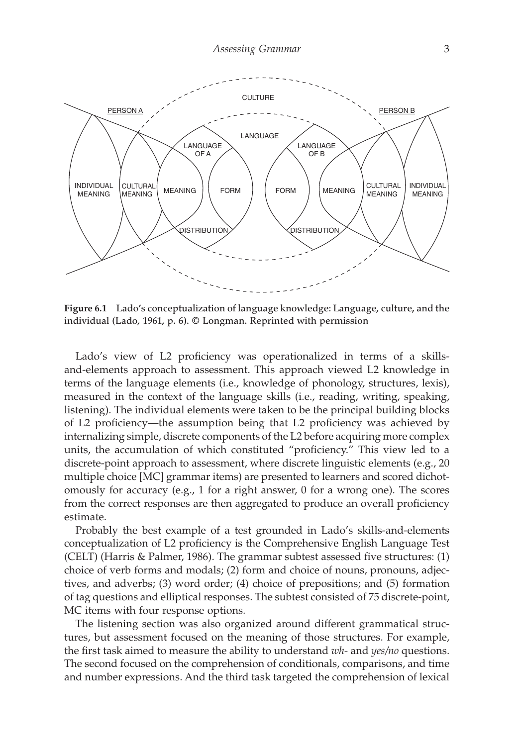

**Figure 6.1** Lado's conceptualization of language knowledge: Language, culture, and the individual (Lado, 1961, p. 6). © Longman. Reprinted with permission

Lado's view of L2 proficiency was operationalized in terms of a skillsand-elements approach to assessment. This approach viewed L2 knowledge in terms of the language elements (i.e., knowledge of phonology, structures, lexis), measured in the context of the language skills (i.e., reading, writing, speaking, listening). The individual elements were taken to be the principal building blocks of L2 proficiency—the assumption being that L2 proficiency was achieved by internalizing simple, discrete components of the L2 before acquiring more complex units, the accumulation of which constituted "proficiency." This view led to a discrete-point approach to assessment, where discrete linguistic elements (e.g., 20 multiple choice [MC] grammar items) are presented to learners and scored dichotomously for accuracy (e.g., 1 for a right answer, 0 for a wrong one). The scores from the correct responses are then aggregated to produce an overall proficiency estimate.

Probably the best example of a test grounded in Lado's skills-and-elements conceptualization of L2 proficiency is the Comprehensive English Language Test (CELT) (Harris & Palmer, 1986). The grammar subtest assessed five structures: (1) choice of verb forms and modals; (2) form and choice of nouns, pronouns, adjectives, and adverbs; (3) word order; (4) choice of prepositions; and (5) formation of tag questions and elliptical responses. The subtest consisted of 75 discrete-point, MC items with four response options.

The listening section was also organized around different grammatical structures, but assessment focused on the meaning of those structures. For example, the first task aimed to measure the ability to understand *wh-* and *yes/no* questions. The second focused on the comprehension of conditionals, comparisons, and time and number expressions. And the third task targeted the comprehension of lexical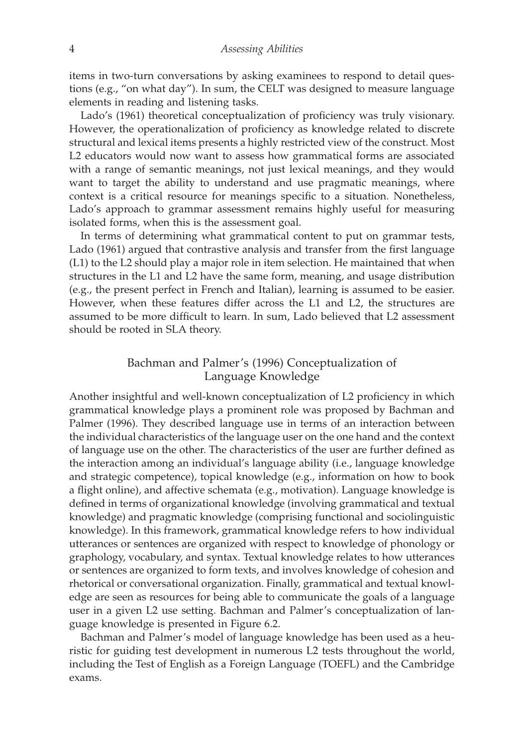items in two-turn conversations by asking examinees to respond to detail questions (e.g., "on what day"). In sum, the CELT was designed to measure language elements in reading and listening tasks.

Lado's (1961) theoretical conceptualization of proficiency was truly visionary. However, the operationalization of proficiency as knowledge related to discrete structural and lexical items presents a highly restricted view of the construct. Most L2 educators would now want to assess how grammatical forms are associated with a range of semantic meanings, not just lexical meanings, and they would want to target the ability to understand and use pragmatic meanings, where context is a critical resource for meanings specific to a situation. Nonetheless, Lado's approach to grammar assessment remains highly useful for measuring isolated forms, when this is the assessment goal.

In terms of determining what grammatical content to put on grammar tests, Lado (1961) argued that contrastive analysis and transfer from the first language (L1) to the L2 should play a major role in item selection. He maintained that when structures in the L1 and L2 have the same form, meaning, and usage distribution (e.g., the present perfect in French and Italian), learning is assumed to be easier. However, when these features differ across the L1 and L2, the structures are assumed to be more difficult to learn. In sum, Lado believed that L2 assessment should be rooted in SLA theory.

# Bachman and Palmer's (1996) Conceptualization of Language Knowledge

Another insightful and well-known conceptualization of L2 proficiency in which grammatical knowledge plays a prominent role was proposed by Bachman and Palmer (1996). They described language use in terms of an interaction between the individual characteristics of the language user on the one hand and the context of language use on the other. The characteristics of the user are further defined as the interaction among an individual's language ability (i.e., language knowledge and strategic competence), topical knowledge (e.g., information on how to book a flight online), and affective schemata (e.g., motivation). Language knowledge is defined in terms of organizational knowledge (involving grammatical and textual knowledge) and pragmatic knowledge (comprising functional and sociolinguistic knowledge). In this framework, grammatical knowledge refers to how individual utterances or sentences are organized with respect to knowledge of phonology or graphology, vocabulary, and syntax. Textual knowledge relates to how utterances or sentences are organized to form texts, and involves knowledge of cohesion and rhetorical or conversational organization. Finally, grammatical and textual knowledge are seen as resources for being able to communicate the goals of a language user in a given L2 use setting. Bachman and Palmer's conceptualization of language knowledge is presented in Figure 6.2.

Bachman and Palmer's model of language knowledge has been used as a heuristic for guiding test development in numerous L2 tests throughout the world, including the Test of English as a Foreign Language (TOEFL) and the Cambridge exams.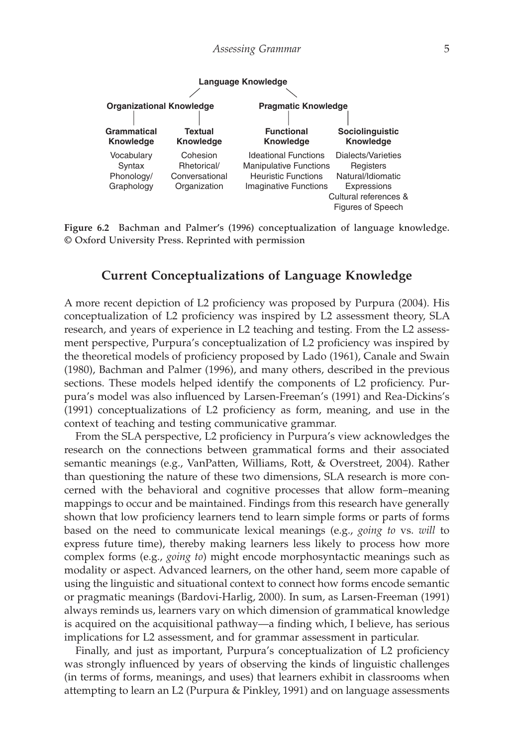

**Figure 6.2** Bachman and Palmer's (1996) conceptualization of language knowledge. © Oxford University Press. Reprinted with permission

# **Current Conceptualizations of Language Knowledge**

A more recent depiction of L2 proficiency was proposed by Purpura (2004). His conceptualization of L2 proficiency was inspired by L2 assessment theory, SLA research, and years of experience in L2 teaching and testing. From the L2 assessment perspective, Purpura's conceptualization of L2 proficiency was inspired by the theoretical models of proficiency proposed by Lado (1961), Canale and Swain (1980), Bachman and Palmer (1996), and many others, described in the previous sections. These models helped identify the components of L2 proficiency. Purpura's model was also influenced by Larsen-Freeman's (1991) and Rea-Dickins's (1991) conceptualizations of L2 proficiency as form, meaning, and use in the context of teaching and testing communicative grammar.

From the SLA perspective, L2 proficiency in Purpura's view acknowledges the research on the connections between grammatical forms and their associated semantic meanings (e.g., VanPatten, Williams, Rott, & Overstreet, 2004). Rather than questioning the nature of these two dimensions, SLA research is more concerned with the behavioral and cognitive processes that allow form–meaning mappings to occur and be maintained. Findings from this research have generally shown that low proficiency learners tend to learn simple forms or parts of forms based on the need to communicate lexical meanings (e.g., *going to* vs. *will* to express future time), thereby making learners less likely to process how more complex forms (e.g., *going to*) might encode morphosyntactic meanings such as modality or aspect. Advanced learners, on the other hand, seem more capable of using the linguistic and situational context to connect how forms encode semantic or pragmatic meanings (Bardovi-Harlig, 2000). In sum, as Larsen-Freeman (1991) always reminds us, learners vary on which dimension of grammatical knowledge is acquired on the acquisitional pathway—a finding which, I believe, has serious implications for L2 assessment, and for grammar assessment in particular.

Finally, and just as important, Purpura's conceptualization of L2 proficiency was strongly influenced by years of observing the kinds of linguistic challenges (in terms of forms, meanings, and uses) that learners exhibit in classrooms when attempting to learn an L2 (Purpura & Pinkley, 1991) and on language assessments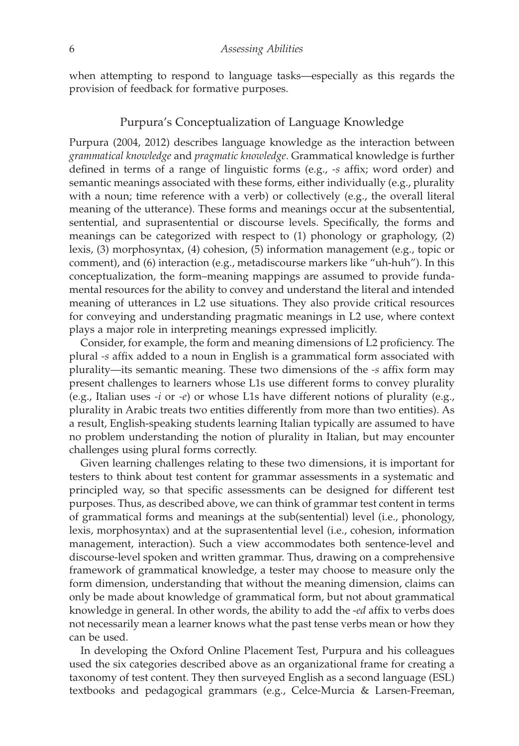when attempting to respond to language tasks—especially as this regards the provision of feedback for formative purposes.

# Purpura's Conceptualization of Language Knowledge

Purpura (2004, 2012) describes language knowledge as the interaction between *grammatical knowledge* and *pragmatic knowledge*. Grammatical knowledge is further defined in terms of a range of linguistic forms (e.g., *-s* affix; word order) and semantic meanings associated with these forms, either individually (e.g., plurality with a noun; time reference with a verb) or collectively (e.g., the overall literal meaning of the utterance). These forms and meanings occur at the subsentential, sentential, and suprasentential or discourse levels. Specifically, the forms and meanings can be categorized with respect to (1) phonology or graphology, (2) lexis, (3) morphosyntax, (4) cohesion, (5) information management (e.g., topic or comment), and (6) interaction (e.g., metadiscourse markers like "uh-huh"). In this conceptualization, the form–meaning mappings are assumed to provide fundamental resources for the ability to convey and understand the literal and intended meaning of utterances in L2 use situations. They also provide critical resources for conveying and understanding pragmatic meanings in L2 use, where context plays a major role in interpreting meanings expressed implicitly.

Consider, for example, the form and meaning dimensions of L2 proficiency. The plural *-s* affix added to a noun in English is a grammatical form associated with plurality—its semantic meaning. These two dimensions of the *-s* affix form may present challenges to learners whose L1s use different forms to convey plurality (e.g., Italian uses *-i* or *-e*) or whose L1s have different notions of plurality (e.g., plurality in Arabic treats two entities differently from more than two entities). As a result, English-speaking students learning Italian typically are assumed to have no problem understanding the notion of plurality in Italian, but may encounter challenges using plural forms correctly.

Given learning challenges relating to these two dimensions, it is important for testers to think about test content for grammar assessments in a systematic and principled way, so that specific assessments can be designed for different test purposes. Thus, as described above, we can think of grammar test content in terms of grammatical forms and meanings at the sub(sentential) level (i.e., phonology, lexis, morphosyntax) and at the suprasentential level (i.e., cohesion, information management, interaction). Such a view accommodates both sentence-level and discourse-level spoken and written grammar. Thus, drawing on a comprehensive framework of grammatical knowledge, a tester may choose to measure only the form dimension, understanding that without the meaning dimension, claims can only be made about knowledge of grammatical form, but not about grammatical knowledge in general. In other words, the ability to add the -*ed* affix to verbs does not necessarily mean a learner knows what the past tense verbs mean or how they can be used.

In developing the Oxford Online Placement Test, Purpura and his colleagues used the six categories described above as an organizational frame for creating a taxonomy of test content. They then surveyed English as a second language (ESL) textbooks and pedagogical grammars (e.g., Celce-Murcia & Larsen-Freeman,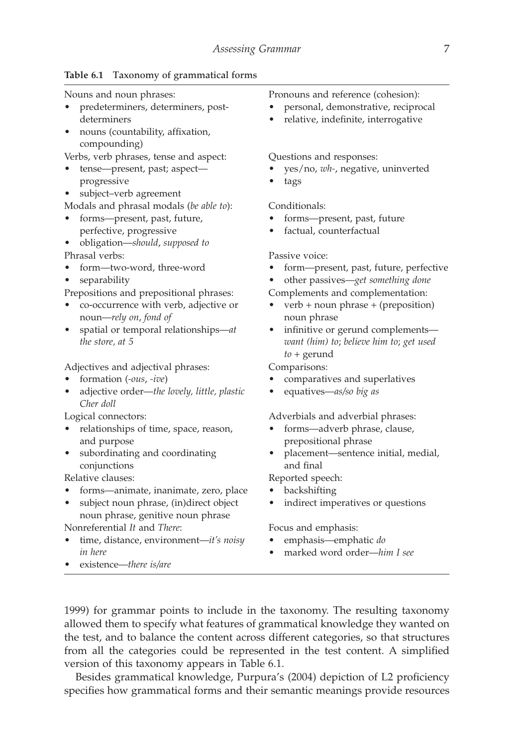## **Table 6.1** Taxonomy of grammatical forms

Nouns and noun phrases:

- predeterminers, determiners, postdeterminers
- nouns (countability, affixation, compounding)

Verbs, verb phrases, tense and aspect:

- tense—present, past; aspect progressive
- subject–verb agreement

Modals and phrasal modals (*be able to*):

- forms--present, past, future, perfective, progressive
- • obligation—*should*, *supposed to* Phrasal verbs:
- form—two-word, three-word
- • separability

Prepositions and prepositional phrases:

- co-occurrence with verb, adjective or noun—*rely on*, *fond of*
- spatial or temporal relationships—at *the store, at 5*

Adjectives and adjectival phrases:

- • formation (*-ous*, *-ive*)
- • adjective order—*the lovely, little, plastic Cher doll*

Logical connectors:

- relationships of time, space, reason, and purpose
- subordinating and coordinating conjunctions

Relative clauses:

- forms—animate, inanimate, zero, place
- subject noun phrase, (in)direct object noun phrase, genitive noun phrase

Nonreferential *It* and *There*:

- time, distance, environment—*it's noisy in here*
- • existence—*there is/are*

Pronouns and reference (cohesion):

- personal, demonstrative, reciprocal
- relative, indefinite, interrogative

# Questions and responses:

- • yes/no, *wh-*, negative, uninverted
- tags

#### Conditionals:

- forms—present, past, future
- factual, counterfactual

#### Passive voice:

- form-present, past, future, perfective
- other passives—*get something done*

Complements and complementation:

- verb + noun phrase + (preposition) noun phrase
- infinitive or gerund complements *want (him) to*; *believe him to*; *get used to* + gerund

Comparisons:

- comparatives and superlatives
- equatives—as/so big as

#### Adverbials and adverbial phrases:

- forms—adverb phrase, clause, prepositional phrase
- placement—sentence initial, medial, and final

Reported speech:

- • backshifting
- indirect imperatives or questions

#### Focus and emphasis:

- • emphasis—emphatic *do*
- • marked word order—*him I see*

1999) for grammar points to include in the taxonomy. The resulting taxonomy allowed them to specify what features of grammatical knowledge they wanted on the test, and to balance the content across different categories, so that structures from all the categories could be represented in the test content. A simplified version of this taxonomy appears in Table 6.1.

Besides grammatical knowledge, Purpura's (2004) depiction of L2 proficiency specifies how grammatical forms and their semantic meanings provide resources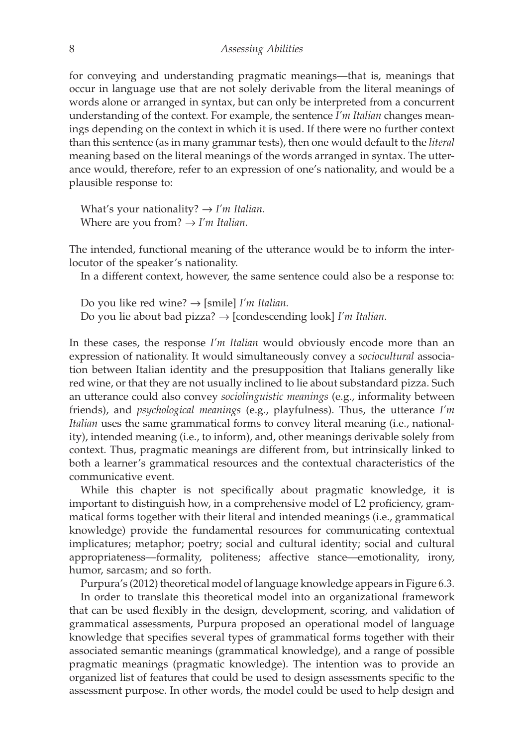for conveying and understanding pragmatic meanings—that is, meanings that occur in language use that are not solely derivable from the literal meanings of words alone or arranged in syntax, but can only be interpreted from a concurrent understanding of the context. For example, the sentence *I'm Italian* changes meanings depending on the context in which it is used. If there were no further context than this sentence (as in many grammar tests), then one would default to the *literal* meaning based on the literal meanings of the words arranged in syntax. The utterance would, therefore, refer to an expression of one's nationality, and would be a plausible response to:

What's your nationality?  $\rightarrow$  *I'm Italian.* Where are you from?  $\rightarrow$  *I'm Italian*.

The intended, functional meaning of the utterance would be to inform the interlocutor of the speaker's nationality.

In a different context, however, the same sentence could also be a response to:

Do you like red wine? → [smile] *I'm Italian.* Do you lie about bad pizza? → [condescending look] *I'm Italian.*

In these cases, the response *I'm Italian* would obviously encode more than an expression of nationality. It would simultaneously convey a *sociocultural* association between Italian identity and the presupposition that Italians generally like red wine, or that they are not usually inclined to lie about substandard pizza. Such an utterance could also convey *sociolinguistic meanings* (e.g., informality between friends), and *psychological meanings* (e.g., playfulness). Thus, the utterance *I'm Italian* uses the same grammatical forms to convey literal meaning (i.e., nationality), intended meaning (i.e., to inform), and, other meanings derivable solely from context. Thus, pragmatic meanings are different from, but intrinsically linked to both a learner's grammatical resources and the contextual characteristics of the communicative event.

While this chapter is not specifically about pragmatic knowledge, it is important to distinguish how, in a comprehensive model of L2 proficiency, grammatical forms together with their literal and intended meanings (i.e., grammatical knowledge) provide the fundamental resources for communicating contextual implicatures; metaphor; poetry; social and cultural identity; social and cultural appropriateness—formality, politeness; affective stance—emotionality, irony, humor, sarcasm; and so forth.

Purpura's (2012) theoretical model of language knowledge appears in Figure 6.3.

In order to translate this theoretical model into an organizational framework that can be used flexibly in the design, development, scoring, and validation of grammatical assessments, Purpura proposed an operational model of language knowledge that specifies several types of grammatical forms together with their associated semantic meanings (grammatical knowledge), and a range of possible pragmatic meanings (pragmatic knowledge). The intention was to provide an organized list of features that could be used to design assessments specific to the assessment purpose. In other words, the model could be used to help design and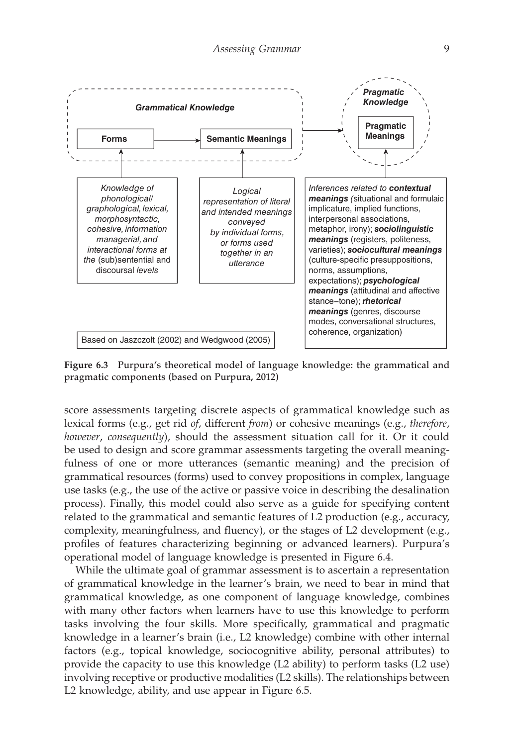

**Figure 6.3** Purpura's theoretical model of language knowledge: the grammatical and pragmatic components (based on Purpura, 2012)

score assessments targeting discrete aspects of grammatical knowledge such as lexical forms (e.g., get rid *of*, different *from*) or cohesive meanings (e.g., *therefore*, *however*, *consequently*), should the assessment situation call for it. Or it could be used to design and score grammar assessments targeting the overall meaningfulness of one or more utterances (semantic meaning) and the precision of grammatical resources (forms) used to convey propositions in complex, language use tasks (e.g., the use of the active or passive voice in describing the desalination process). Finally, this model could also serve as a guide for specifying content related to the grammatical and semantic features of L2 production (e.g., accuracy, complexity, meaningfulness, and fluency), or the stages of L2 development (e.g., profiles of features characterizing beginning or advanced learners). Purpura's operational model of language knowledge is presented in Figure 6.4.

While the ultimate goal of grammar assessment is to ascertain a representation of grammatical knowledge in the learner's brain, we need to bear in mind that grammatical knowledge, as one component of language knowledge, combines with many other factors when learners have to use this knowledge to perform tasks involving the four skills. More specifically, grammatical and pragmatic knowledge in a learner's brain (i.e., L2 knowledge) combine with other internal factors (e.g., topical knowledge, sociocognitive ability, personal attributes) to provide the capacity to use this knowledge (L2 ability) to perform tasks (L2 use) involving receptive or productive modalities (L2 skills). The relationships between L2 knowledge, ability, and use appear in Figure 6.5.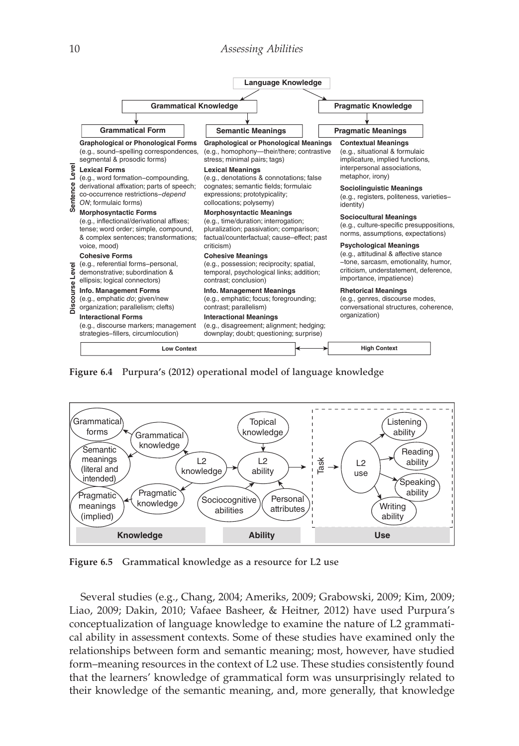# 10 *Assessing Abilities*







**Figure 6.5** Grammatical knowledge as a resource for L2 use

Several studies (e.g., Chang, 2004; Ameriks, 2009; Grabowski, 2009; Kim, 2009; Liao, 2009; Dakin, 2010; Vafaee Basheer, & Heitner, 2012) have used Purpura's conceptualization of language knowledge to examine the nature of L2 grammatical ability in assessment contexts. Some of these studies have examined only the relationships between form and semantic meaning; most, however, have studied form–meaning resources in the context of L2 use. These studies consistently found that the learners' knowledge of grammatical form was unsurprisingly related to their knowledge of the semantic meaning, and, more generally, that knowledge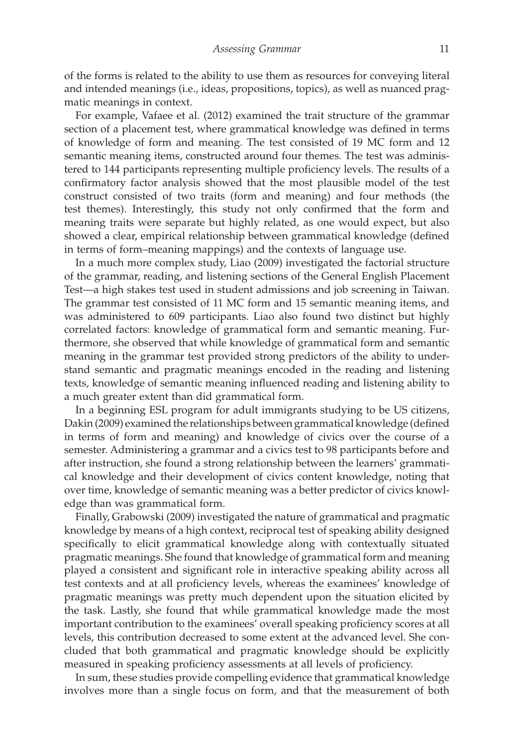of the forms is related to the ability to use them as resources for conveying literal and intended meanings (i.e., ideas, propositions, topics), as well as nuanced pragmatic meanings in context.

For example, Vafaee et al. (2012) examined the trait structure of the grammar section of a placement test, where grammatical knowledge was defined in terms of knowledge of form and meaning. The test consisted of 19 MC form and 12 semantic meaning items, constructed around four themes. The test was administered to 144 participants representing multiple proficiency levels. The results of a confirmatory factor analysis showed that the most plausible model of the test construct consisted of two traits (form and meaning) and four methods (the test themes). Interestingly, this study not only confirmed that the form and meaning traits were separate but highly related, as one would expect, but also showed a clear, empirical relationship between grammatical knowledge (defined in terms of form–meaning mappings) and the contexts of language use.

In a much more complex study, Liao (2009) investigated the factorial structure of the grammar, reading, and listening sections of the General English Placement Test—a high stakes test used in student admissions and job screening in Taiwan. The grammar test consisted of 11 MC form and 15 semantic meaning items, and was administered to 609 participants. Liao also found two distinct but highly correlated factors: knowledge of grammatical form and semantic meaning. Furthermore, she observed that while knowledge of grammatical form and semantic meaning in the grammar test provided strong predictors of the ability to understand semantic and pragmatic meanings encoded in the reading and listening texts, knowledge of semantic meaning influenced reading and listening ability to a much greater extent than did grammatical form.

In a beginning ESL program for adult immigrants studying to be US citizens, Dakin (2009) examined the relationships between grammatical knowledge (defined in terms of form and meaning) and knowledge of civics over the course of a semester. Administering a grammar and a civics test to 98 participants before and after instruction, she found a strong relationship between the learners' grammatical knowledge and their development of civics content knowledge, noting that over time, knowledge of semantic meaning was a better predictor of civics knowledge than was grammatical form.

Finally, Grabowski (2009) investigated the nature of grammatical and pragmatic knowledge by means of a high context, reciprocal test of speaking ability designed specifically to elicit grammatical knowledge along with contextually situated pragmatic meanings. She found that knowledge of grammatical form and meaning played a consistent and significant role in interactive speaking ability across all test contexts and at all proficiency levels, whereas the examinees' knowledge of pragmatic meanings was pretty much dependent upon the situation elicited by the task. Lastly, she found that while grammatical knowledge made the most important contribution to the examinees' overall speaking proficiency scores at all levels, this contribution decreased to some extent at the advanced level. She concluded that both grammatical and pragmatic knowledge should be explicitly measured in speaking proficiency assessments at all levels of proficiency.

In sum, these studies provide compelling evidence that grammatical knowledge involves more than a single focus on form, and that the measurement of both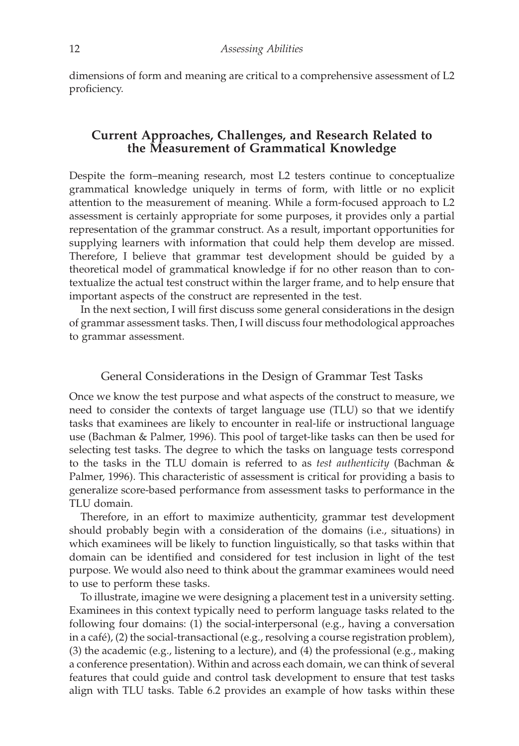dimensions of form and meaning are critical to a comprehensive assessment of L2 proficiency.

# **Current Approaches, Challenges, and Research Related to the Measurement of Grammatical Knowledge**

Despite the form–meaning research, most L2 testers continue to conceptualize grammatical knowledge uniquely in terms of form, with little or no explicit attention to the measurement of meaning. While a form-focused approach to L2 assessment is certainly appropriate for some purposes, it provides only a partial representation of the grammar construct. As a result, important opportunities for supplying learners with information that could help them develop are missed. Therefore, I believe that grammar test development should be guided by a theoretical model of grammatical knowledge if for no other reason than to contextualize the actual test construct within the larger frame, and to help ensure that important aspects of the construct are represented in the test.

In the next section, I will first discuss some general considerations in the design of grammar assessment tasks. Then, I will discuss four methodological approaches to grammar assessment.

# General Considerations in the Design of Grammar Test Tasks

Once we know the test purpose and what aspects of the construct to measure, we need to consider the contexts of target language use (TLU) so that we identify tasks that examinees are likely to encounter in real-life or instructional language use (Bachman & Palmer, 1996). This pool of target-like tasks can then be used for selecting test tasks. The degree to which the tasks on language tests correspond to the tasks in the TLU domain is referred to as *test authenticity* (Bachman & Palmer, 1996). This characteristic of assessment is critical for providing a basis to generalize score-based performance from assessment tasks to performance in the TLU domain.

Therefore, in an effort to maximize authenticity, grammar test development should probably begin with a consideration of the domains (i.e., situations) in which examinees will be likely to function linguistically, so that tasks within that domain can be identified and considered for test inclusion in light of the test purpose. We would also need to think about the grammar examinees would need to use to perform these tasks.

To illustrate, imagine we were designing a placement test in a university setting. Examinees in this context typically need to perform language tasks related to the following four domains: (1) the social-interpersonal (e.g., having a conversation in a café), (2) the social-transactional (e.g., resolving a course registration problem), (3) the academic (e.g., listening to a lecture), and (4) the professional (e.g., making a conference presentation). Within and across each domain, we can think of several features that could guide and control task development to ensure that test tasks align with TLU tasks. Table 6.2 provides an example of how tasks within these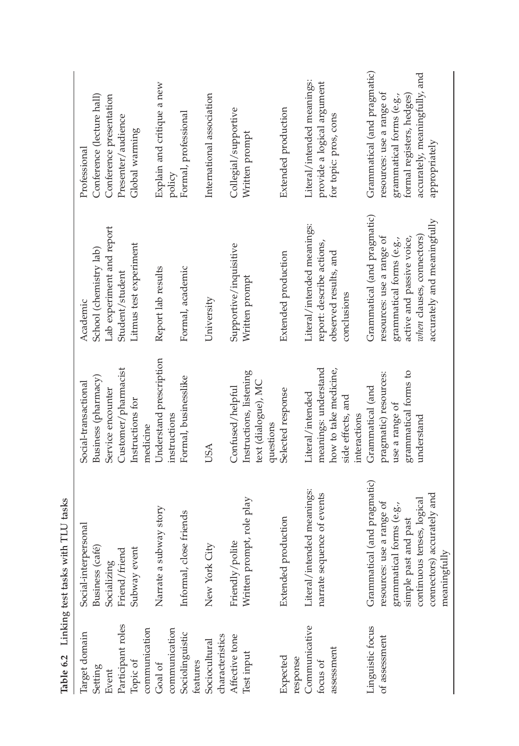|                             | concant The monday concern to the monday of the second the second the second terms of the second terms of the second terms of the second terms of the second terms of the second terms of the second terms of the second terms |                                                |                             |                               |
|-----------------------------|--------------------------------------------------------------------------------------------------------------------------------------------------------------------------------------------------------------------------------|------------------------------------------------|-----------------------------|-------------------------------|
| Target domain               | Social-interpersonal                                                                                                                                                                                                           | Social-transactional                           | Academic                    | Professional                  |
| Setting                     | Business (café                                                                                                                                                                                                                 | Business (pharmacy)                            | School (chemistry lab)      | Conference (lecture hall)     |
| Event                       | Socializing                                                                                                                                                                                                                    | Service encounter                              | Lab experiment and report   | Conference presentation       |
| Participant roles           | Friend/friend                                                                                                                                                                                                                  | Customer/pharmacist                            | Student/student             | Presenter/audience            |
| Topic of                    | Subway event                                                                                                                                                                                                                   | Instructions for                               | Litmus test experiment      | Global warming                |
| communication               |                                                                                                                                                                                                                                | medicine                                       |                             |                               |
| Goal of                     | Narrate a subway story                                                                                                                                                                                                         | Understand prescription                        | Report lab results          | Explain and critique a new    |
| communication               |                                                                                                                                                                                                                                | instructions                                   |                             | policy                        |
| Sociolinguistic<br>features | Informal, close friends                                                                                                                                                                                                        | Formal, businesslike                           | Formal, academic            | Formal, professional          |
| Sociocultural               | New York City                                                                                                                                                                                                                  | USA                                            | University                  | International association     |
| characteristics             |                                                                                                                                                                                                                                |                                                |                             |                               |
| Affective tone              | Friendly/polite                                                                                                                                                                                                                | Confused/helpful                               | Supportive/inquisitive      | Collegial/supportive          |
| Test input                  | Written prompt, role play                                                                                                                                                                                                      | Instructions, listening<br>text (dialogue), MC | Written prompt              | Written prompt                |
|                             |                                                                                                                                                                                                                                | questions                                      |                             |                               |
| Expected                    | Extended production                                                                                                                                                                                                            | Selected response                              | Extended production         | Extended production           |
| response                    |                                                                                                                                                                                                                                |                                                |                             |                               |
| Communicative               | Literal/intended meanings:                                                                                                                                                                                                     | Literal/intended                               | Literal/intended meanings:  | Literal/intended meanings:    |
| focus of                    | narrate sequence of events                                                                                                                                                                                                     | meanings: understand                           | report: describe actions,   | provide a logical argument    |
| assessment                  |                                                                                                                                                                                                                                | how to take medicine,                          | observed results, and       | for topic: pros, cons         |
|                             |                                                                                                                                                                                                                                | side effects, and                              | conclusions                 |                               |
|                             |                                                                                                                                                                                                                                | interactions                                   |                             |                               |
| Linguistic focus            | Grammatical (and pragmatic)                                                                                                                                                                                                    | Grammatical (and                               | Grammatical (and pragmatic) | Grammatical (and pragmatic)   |
| of assessment               | a range of<br>resources: use                                                                                                                                                                                                   | pragmatic) resources:                          | resources: use a range of   | resources: use a range of     |
|                             | grammatical forms (e.g.,                                                                                                                                                                                                       | use a range of                                 | grammatical forms (e.g.,    | grammatical forms (e.g.,      |
|                             | simple past and past                                                                                                                                                                                                           | grammatical forms to                           | active and passive voice,   | formal registers, hedges)     |
|                             | continuous tenses, logical                                                                                                                                                                                                     | understand                                     | when clauses, connectors)   | accurately, meaningfully, and |
|                             | connectors) accurately and                                                                                                                                                                                                     |                                                | accurately and meaningfully | appropriately                 |
|                             | meaningfully                                                                                                                                                                                                                   |                                                |                             |                               |

Table 6.2 Linking test tasks with TLU tasks **Table 6.2** Linking test tasks with TLU tasks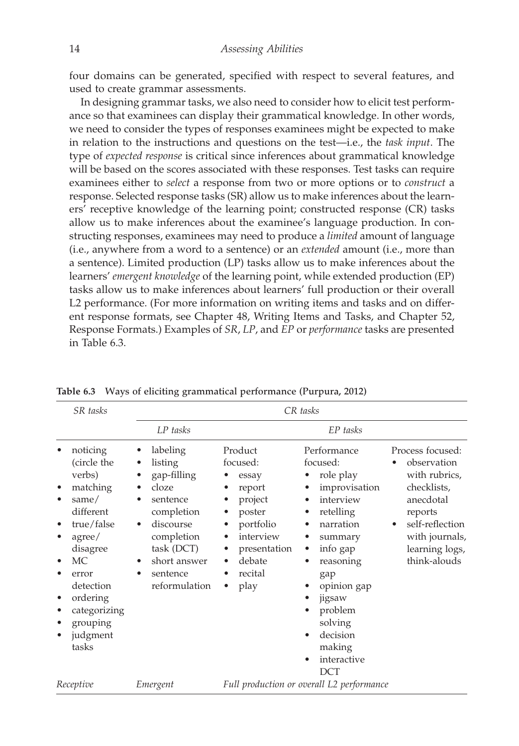four domains can be generated, specified with respect to several features, and used to create grammar assessments.

In designing grammar tasks, we also need to consider how to elicit test performance so that examinees can display their grammatical knowledge. In other words, we need to consider the types of responses examinees might be expected to make in relation to the instructions and questions on the test—i.e., the *task input*. The type of *expected response* is critical since inferences about grammatical knowledge will be based on the scores associated with these responses. Test tasks can require examinees either to *select* a response from two or more options or to *construct* a response. Selected response tasks (SR) allow us to make inferences about the learners' receptive knowledge of the learning point; constructed response (CR) tasks allow us to make inferences about the examinee's language production. In constructing responses, examinees may need to produce a *limited* amount of language (i.e., anywhere from a word to a sentence) or an *extended* amount (i.e., more than a sentence). Limited production (LP) tasks allow us to make inferences about the learners' *emergent knowledge* of the learning point, while extended production (EP) tasks allow us to make inferences about learners' full production or their overall L2 performance. (For more information on writing items and tasks and on different response formats, see Chapter 48, Writing Items and Tasks, and Chapter 52, Response Formats.) Examples of *SR*, *LP*, and *EP* or *performance* tasks are presented in Table 6.3.

| SR tasks                                                                                                                                                                                         | CR tasks                                                                                                                                                                      |                                                                                                                                    |                                                                                                                                                                                                                                                                                                         |                                                                                                                                                                     |  |
|--------------------------------------------------------------------------------------------------------------------------------------------------------------------------------------------------|-------------------------------------------------------------------------------------------------------------------------------------------------------------------------------|------------------------------------------------------------------------------------------------------------------------------------|---------------------------------------------------------------------------------------------------------------------------------------------------------------------------------------------------------------------------------------------------------------------------------------------------------|---------------------------------------------------------------------------------------------------------------------------------------------------------------------|--|
|                                                                                                                                                                                                  | LP tasks                                                                                                                                                                      |                                                                                                                                    | EP tasks                                                                                                                                                                                                                                                                                                |                                                                                                                                                                     |  |
| noticing<br>(circle the<br>verbs)<br>matching<br>same/<br>different<br>true/false<br>agree/<br>disagree<br>MC<br>error<br>detection<br>ordering<br>categorizing<br>grouping<br>judgment<br>tasks | labeling<br>listing<br>$\bullet$<br>gap-filling<br>cloze<br>sentence<br>٠<br>completion<br>discourse<br>completion<br>task (DCT)<br>short answer<br>sentence<br>reformulation | Product<br>focused:<br>essay<br>report<br>project<br>poster<br>portfolio<br>interview<br>presentation<br>debate<br>recital<br>play | Performance<br>focused:<br>role play<br>٠<br>improvisation<br>$\bullet$<br>interview<br>$\bullet$<br>retelling<br>$\bullet$<br>narration<br>summary<br>٠<br>info gap<br>$\bullet$<br>reasoning<br>gap<br>opinion gap<br>jigsaw<br>problem<br>solving<br>decision<br>making<br>interactive<br><b>DCT</b> | Process focused:<br>observation<br>٠<br>with rubrics,<br>checklists,<br>anecdotal<br>reports<br>self-reflection<br>with journals,<br>learning logs,<br>think-alouds |  |
| Receptive                                                                                                                                                                                        | Emergent                                                                                                                                                                      |                                                                                                                                    | Full production or overall L2 performance                                                                                                                                                                                                                                                               |                                                                                                                                                                     |  |

**Table 6.3** Ways of eliciting grammatical performance (Purpura, 2012)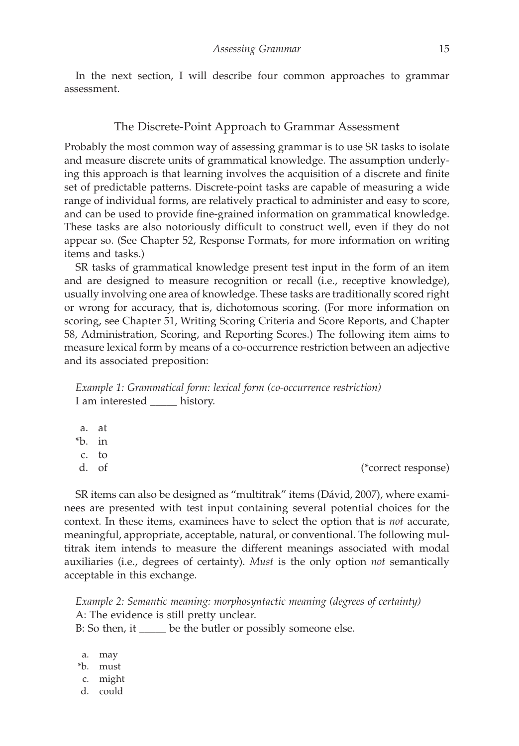In the next section, I will describe four common approaches to grammar assessment.

## The Discrete-Point Approach to Grammar Assessment

Probably the most common way of assessing grammar is to use SR tasks to isolate and measure discrete units of grammatical knowledge. The assumption underlying this approach is that learning involves the acquisition of a discrete and finite set of predictable patterns. Discrete-point tasks are capable of measuring a wide range of individual forms, are relatively practical to administer and easy to score, and can be used to provide fine-grained information on grammatical knowledge. These tasks are also notoriously difficult to construct well, even if they do not appear so. (See Chapter 52, Response Formats, for more information on writing items and tasks.)

SR tasks of grammatical knowledge present test input in the form of an item and are designed to measure recognition or recall (i.e., receptive knowledge), usually involving one area of knowledge. These tasks are traditionally scored right or wrong for accuracy, that is, dichotomous scoring. (For more information on scoring, see Chapter 51, Writing Scoring Criteria and Score Reports, and Chapter 58, Administration, Scoring, and Reporting Scores.) The following item aims to measure lexical form by means of a co-occurrence restriction between an adjective and its associated preposition:

*Example 1: Grammatical form: lexical form (co-occurrence restriction)* I am interested \_\_\_\_\_ history.

a. at

\*b. in

c. to

d. of (\*correct response)

SR items can also be designed as "multitrak" items (Dávid, 2007), where examinees are presented with test input containing several potential choices for the context. In these items, examinees have to select the option that is *not* accurate, meaningful, appropriate, acceptable, natural, or conventional. The following multitrak item intends to measure the different meanings associated with modal auxiliaries (i.e., degrees of certainty). *Must* is the only option *not* semantically acceptable in this exchange.

*Example 2: Semantic meaning: morphosyntactic meaning (degrees of certainty)* A: The evidence is still pretty unclear.

B: So then, it \_\_\_\_\_ be the butler or possibly someone else.

- a. may
- \*b. must
- c. might
- d. could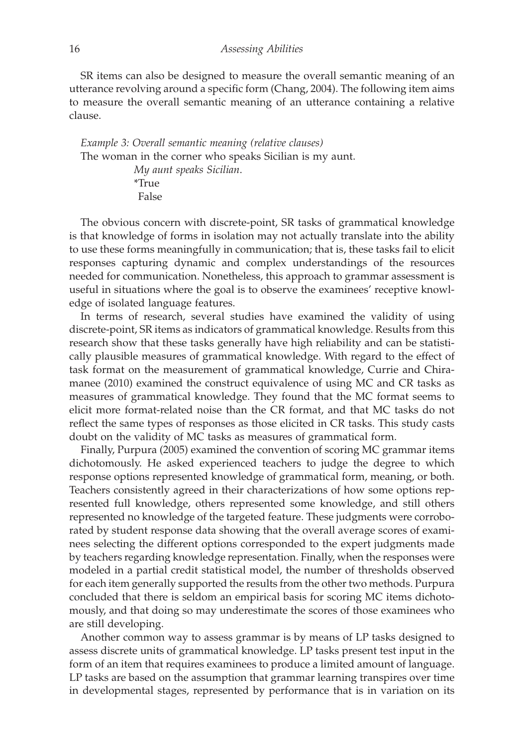SR items can also be designed to measure the overall semantic meaning of an utterance revolving around a specific form (Chang, 2004). The following item aims to measure the overall semantic meaning of an utterance containing a relative clause.

*Example 3: Overall semantic meaning (relative clauses)* The woman in the corner who speaks Sicilian is my aunt.

 *My aunt speaks Sicilian*. \*True False

The obvious concern with discrete-point, SR tasks of grammatical knowledge is that knowledge of forms in isolation may not actually translate into the ability to use these forms meaningfully in communication; that is, these tasks fail to elicit responses capturing dynamic and complex understandings of the resources needed for communication. Nonetheless, this approach to grammar assessment is useful in situations where the goal is to observe the examinees' receptive knowledge of isolated language features.

In terms of research, several studies have examined the validity of using discrete-point, SR items as indicators of grammatical knowledge. Results from this research show that these tasks generally have high reliability and can be statistically plausible measures of grammatical knowledge. With regard to the effect of task format on the measurement of grammatical knowledge, Currie and Chiramanee (2010) examined the construct equivalence of using MC and CR tasks as measures of grammatical knowledge. They found that the MC format seems to elicit more format-related noise than the CR format, and that MC tasks do not reflect the same types of responses as those elicited in CR tasks. This study casts doubt on the validity of MC tasks as measures of grammatical form.

Finally, Purpura (2005) examined the convention of scoring MC grammar items dichotomously. He asked experienced teachers to judge the degree to which response options represented knowledge of grammatical form, meaning, or both. Teachers consistently agreed in their characterizations of how some options represented full knowledge, others represented some knowledge, and still others represented no knowledge of the targeted feature. These judgments were corroborated by student response data showing that the overall average scores of examinees selecting the different options corresponded to the expert judgments made by teachers regarding knowledge representation. Finally, when the responses were modeled in a partial credit statistical model, the number of thresholds observed for each item generally supported the results from the other two methods. Purpura concluded that there is seldom an empirical basis for scoring MC items dichotomously, and that doing so may underestimate the scores of those examinees who are still developing.

Another common way to assess grammar is by means of LP tasks designed to assess discrete units of grammatical knowledge. LP tasks present test input in the form of an item that requires examinees to produce a limited amount of language. LP tasks are based on the assumption that grammar learning transpires over time in developmental stages, represented by performance that is in variation on its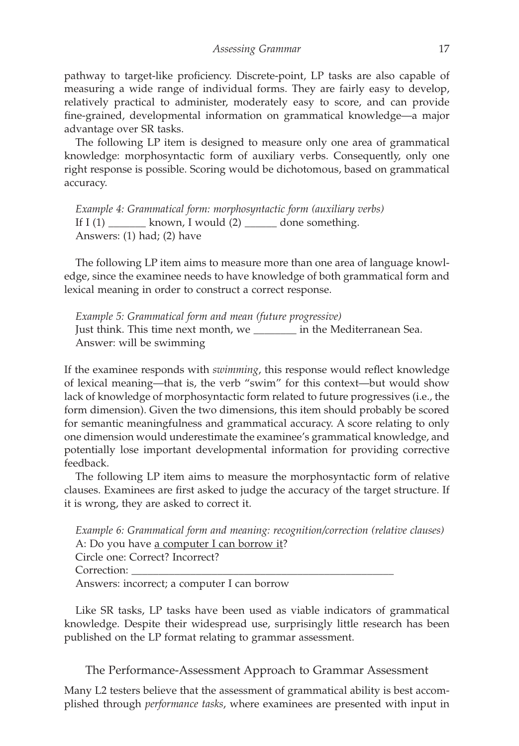pathway to target-like proficiency. Discrete-point, LP tasks are also capable of measuring a wide range of individual forms. They are fairly easy to develop, relatively practical to administer, moderately easy to score, and can provide fine-grained, developmental information on grammatical knowledge—a major advantage over SR tasks.

The following LP item is designed to measure only one area of grammatical knowledge: morphosyntactic form of auxiliary verbs. Consequently, only one right response is possible. Scoring would be dichotomous, based on grammatical accuracy.

*Example 4: Grammatical form: morphosyntactic form (auxiliary verbs)* If I  $(1)$  known, I would  $(2)$  done something. Answers: (1) had; (2) have

The following LP item aims to measure more than one area of language knowledge, since the examinee needs to have knowledge of both grammatical form and lexical meaning in order to construct a correct response.

*Example 5: Grammatical form and mean (future progressive)* Just think. This time next month, we \_\_\_\_\_\_\_\_ in the Mediterranean Sea. Answer: will be swimming

If the examinee responds with *swimming*, this response would reflect knowledge of lexical meaning—that is, the verb "swim" for this context—but would show lack of knowledge of morphosyntactic form related to future progressives (i.e., the form dimension). Given the two dimensions, this item should probably be scored for semantic meaningfulness and grammatical accuracy. A score relating to only one dimension would underestimate the examinee's grammatical knowledge, and potentially lose important developmental information for providing corrective feedback.

The following LP item aims to measure the morphosyntactic form of relative clauses. Examinees are first asked to judge the accuracy of the target structure. If it is wrong, they are asked to correct it.

```
Example 6: Grammatical form and meaning: recognition/correction (relative clauses)
A: Do you have a computer I can borrow it?
Circle one: Correct? Incorrect?
Correction:
Answers: incorrect; a computer I can borrow
```
Like SR tasks, LP tasks have been used as viable indicators of grammatical knowledge. Despite their widespread use, surprisingly little research has been published on the LP format relating to grammar assessment.

The Performance-Assessment Approach to Grammar Assessment

Many L2 testers believe that the assessment of grammatical ability is best accomplished through *performance tasks*, where examinees are presented with input in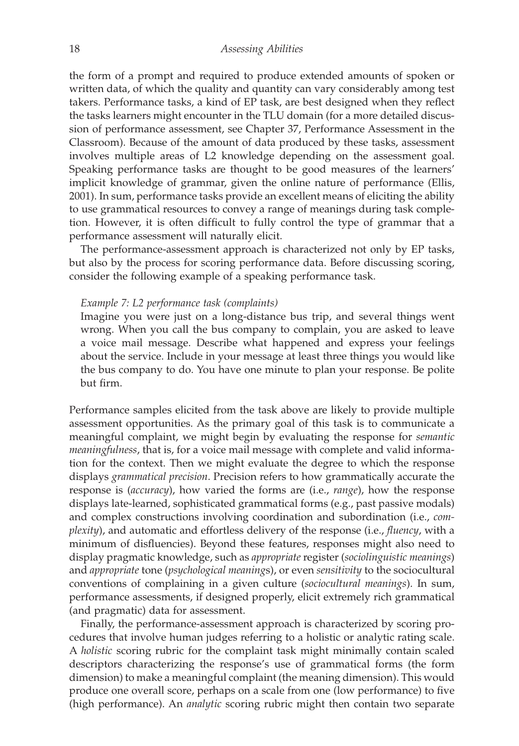the form of a prompt and required to produce extended amounts of spoken or written data, of which the quality and quantity can vary considerably among test takers. Performance tasks, a kind of EP task, are best designed when they reflect the tasks learners might encounter in the TLU domain (for a more detailed discussion of performance assessment, see Chapter 37, Performance Assessment in the Classroom). Because of the amount of data produced by these tasks, assessment involves multiple areas of L2 knowledge depending on the assessment goal. Speaking performance tasks are thought to be good measures of the learners' implicit knowledge of grammar, given the online nature of performance (Ellis, 2001). In sum, performance tasks provide an excellent means of eliciting the ability to use grammatical resources to convey a range of meanings during task completion. However, it is often difficult to fully control the type of grammar that a performance assessment will naturally elicit.

The performance-assessment approach is characterized not only by EP tasks, but also by the process for scoring performance data. Before discussing scoring, consider the following example of a speaking performance task.

#### *Example 7: L2 performance task (complaints)*

Imagine you were just on a long-distance bus trip, and several things went wrong. When you call the bus company to complain, you are asked to leave a voice mail message. Describe what happened and express your feelings about the service. Include in your message at least three things you would like the bus company to do. You have one minute to plan your response. Be polite but firm.

Performance samples elicited from the task above are likely to provide multiple assessment opportunities. As the primary goal of this task is to communicate a meaningful complaint, we might begin by evaluating the response for *semantic meaningfulness*, that is, for a voice mail message with complete and valid information for the context. Then we might evaluate the degree to which the response displays *grammatical precision*. Precision refers to how grammatically accurate the response is (*accuracy*), how varied the forms are (i.e., *range*), how the response displays late-learned, sophisticated grammatical forms (e.g., past passive modals) and complex constructions involving coordination and subordination (i.e., *complexity*), and automatic and effortless delivery of the response (i.e., *fluency*, with a minimum of disfluencies). Beyond these features, responses might also need to display pragmatic knowledge, such as *appropriate* register (*sociolinguistic meanings*) and *appropriate* tone (*psychological meaning*s), or even *sensitivity* to the sociocultural conventions of complaining in a given culture (*sociocultural meanings*). In sum, performance assessments, if designed properly, elicit extremely rich grammatical (and pragmatic) data for assessment.

Finally, the performance-assessment approach is characterized by scoring procedures that involve human judges referring to a holistic or analytic rating scale. A *holistic* scoring rubric for the complaint task might minimally contain scaled descriptors characterizing the response's use of grammatical forms (the form dimension) to make a meaningful complaint (the meaning dimension). This would produce one overall score, perhaps on a scale from one (low performance) to five (high performance). An *analytic* scoring rubric might then contain two separate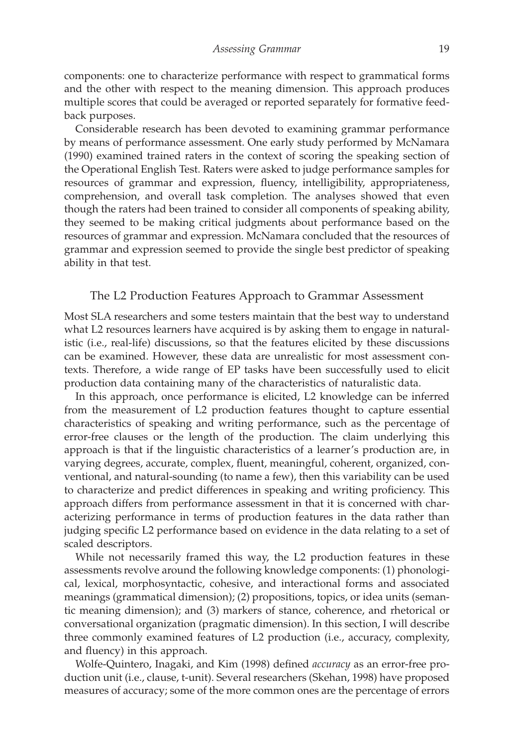components: one to characterize performance with respect to grammatical forms and the other with respect to the meaning dimension. This approach produces multiple scores that could be averaged or reported separately for formative feedback purposes.

Considerable research has been devoted to examining grammar performance by means of performance assessment. One early study performed by McNamara (1990) examined trained raters in the context of scoring the speaking section of the Operational English Test. Raters were asked to judge performance samples for resources of grammar and expression, fluency, intelligibility, appropriateness, comprehension, and overall task completion. The analyses showed that even though the raters had been trained to consider all components of speaking ability, they seemed to be making critical judgments about performance based on the resources of grammar and expression. McNamara concluded that the resources of grammar and expression seemed to provide the single best predictor of speaking ability in that test.

# The L2 Production Features Approach to Grammar Assessment

Most SLA researchers and some testers maintain that the best way to understand what L2 resources learners have acquired is by asking them to engage in naturalistic (i.e., real-life) discussions, so that the features elicited by these discussions can be examined. However, these data are unrealistic for most assessment contexts. Therefore, a wide range of EP tasks have been successfully used to elicit production data containing many of the characteristics of naturalistic data.

In this approach, once performance is elicited, L2 knowledge can be inferred from the measurement of L2 production features thought to capture essential characteristics of speaking and writing performance, such as the percentage of error-free clauses or the length of the production. The claim underlying this approach is that if the linguistic characteristics of a learner's production are, in varying degrees, accurate, complex, fluent, meaningful, coherent, organized, conventional, and natural-sounding (to name a few), then this variability can be used to characterize and predict differences in speaking and writing proficiency. This approach differs from performance assessment in that it is concerned with characterizing performance in terms of production features in the data rather than judging specific L2 performance based on evidence in the data relating to a set of scaled descriptors.

While not necessarily framed this way, the L2 production features in these assessments revolve around the following knowledge components: (1) phonological, lexical, morphosyntactic, cohesive, and interactional forms and associated meanings (grammatical dimension); (2) propositions, topics, or idea units (semantic meaning dimension); and (3) markers of stance, coherence, and rhetorical or conversational organization (pragmatic dimension). In this section, I will describe three commonly examined features of L2 production (i.e., accuracy, complexity, and fluency) in this approach.

Wolfe-Quintero, Inagaki, and Kim (1998) defined *accuracy* as an error-free production unit (i.e., clause, t-unit). Several researchers (Skehan, 1998) have proposed measures of accuracy; some of the more common ones are the percentage of errors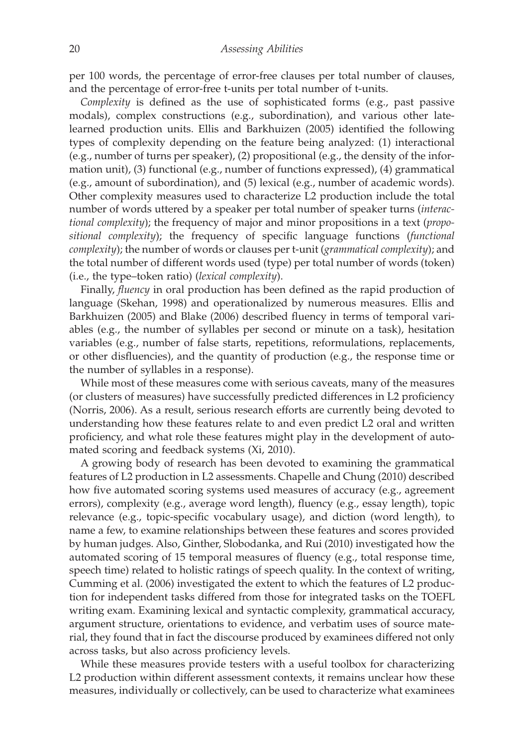per 100 words, the percentage of error-free clauses per total number of clauses, and the percentage of error-free t-units per total number of t-units.

*Complexity* is defined as the use of sophisticated forms (e.g., past passive modals), complex constructions (e.g., subordination), and various other latelearned production units. Ellis and Barkhuizen (2005) identified the following types of complexity depending on the feature being analyzed: (1) interactional (e.g., number of turns per speaker), (2) propositional (e.g., the density of the information unit), (3) functional (e.g., number of functions expressed), (4) grammatical (e.g., amount of subordination), and (5) lexical (e.g., number of academic words). Other complexity measures used to characterize L2 production include the total number of words uttered by a speaker per total number of speaker turns (*interactional complexity*); the frequency of major and minor propositions in a text (*propositional complexity*); the frequency of specific language functions (*functional complexity*); the number of words or clauses per t-unit (*grammatical complexity*); and the total number of different words used (type) per total number of words (token) (i.e., the type–token ratio) (*lexical complexity*).

Finally, *fluency* in oral production has been defined as the rapid production of language (Skehan, 1998) and operationalized by numerous measures. Ellis and Barkhuizen (2005) and Blake (2006) described fluency in terms of temporal variables (e.g., the number of syllables per second or minute on a task), hesitation variables (e.g., number of false starts, repetitions, reformulations, replacements, or other disfluencies), and the quantity of production (e.g., the response time or the number of syllables in a response).

While most of these measures come with serious caveats, many of the measures (or clusters of measures) have successfully predicted differences in L2 proficiency (Norris, 2006). As a result, serious research efforts are currently being devoted to understanding how these features relate to and even predict L2 oral and written proficiency, and what role these features might play in the development of automated scoring and feedback systems (Xi, 2010).

A growing body of research has been devoted to examining the grammatical features of L2 production in L2 assessments. Chapelle and Chung (2010) described how five automated scoring systems used measures of accuracy (e.g., agreement errors), complexity (e.g., average word length), fluency (e.g., essay length), topic relevance (e.g., topic-specific vocabulary usage), and diction (word length), to name a few, to examine relationships between these features and scores provided by human judges. Also, Ginther, Slobodanka, and Rui (2010) investigated how the automated scoring of 15 temporal measures of fluency (e.g., total response time, speech time) related to holistic ratings of speech quality. In the context of writing, Cumming et al. (2006) investigated the extent to which the features of L2 production for independent tasks differed from those for integrated tasks on the TOEFL writing exam. Examining lexical and syntactic complexity, grammatical accuracy, argument structure, orientations to evidence, and verbatim uses of source material, they found that in fact the discourse produced by examinees differed not only across tasks, but also across proficiency levels.

While these measures provide testers with a useful toolbox for characterizing L2 production within different assessment contexts, it remains unclear how these measures, individually or collectively, can be used to characterize what examinees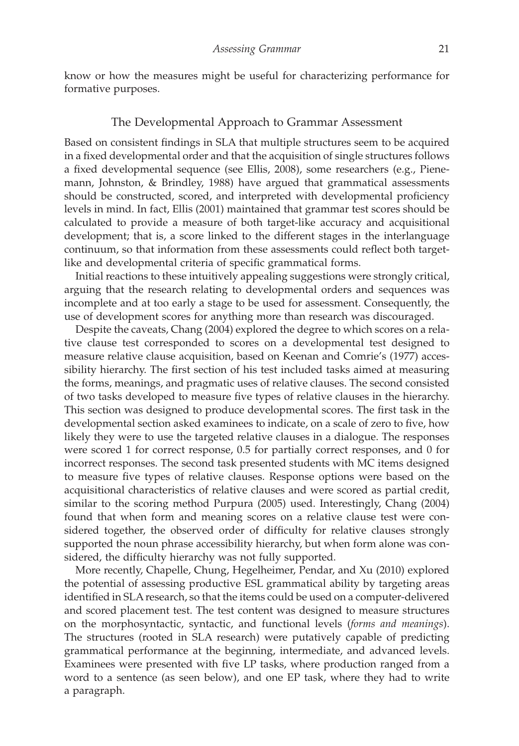know or how the measures might be useful for characterizing performance for formative purposes.

## The Developmental Approach to Grammar Assessment

Based on consistent findings in SLA that multiple structures seem to be acquired in a fixed developmental order and that the acquisition of single structures follows a fixed developmental sequence (see Ellis, 2008), some researchers (e.g., Pienemann, Johnston, & Brindley, 1988) have argued that grammatical assessments should be constructed, scored, and interpreted with developmental proficiency levels in mind. In fact, Ellis (2001) maintained that grammar test scores should be calculated to provide a measure of both target-like accuracy and acquisitional development; that is, a score linked to the different stages in the interlanguage continuum, so that information from these assessments could reflect both targetlike and developmental criteria of specific grammatical forms.

Initial reactions to these intuitively appealing suggestions were strongly critical, arguing that the research relating to developmental orders and sequences was incomplete and at too early a stage to be used for assessment. Consequently, the use of development scores for anything more than research was discouraged.

Despite the caveats, Chang (2004) explored the degree to which scores on a relative clause test corresponded to scores on a developmental test designed to measure relative clause acquisition, based on Keenan and Comrie's (1977) accessibility hierarchy. The first section of his test included tasks aimed at measuring the forms, meanings, and pragmatic uses of relative clauses. The second consisted of two tasks developed to measure five types of relative clauses in the hierarchy. This section was designed to produce developmental scores. The first task in the developmental section asked examinees to indicate, on a scale of zero to five, how likely they were to use the targeted relative clauses in a dialogue. The responses were scored 1 for correct response, 0.5 for partially correct responses, and 0 for incorrect responses. The second task presented students with MC items designed to measure five types of relative clauses. Response options were based on the acquisitional characteristics of relative clauses and were scored as partial credit, similar to the scoring method Purpura (2005) used. Interestingly, Chang (2004) found that when form and meaning scores on a relative clause test were considered together, the observed order of difficulty for relative clauses strongly supported the noun phrase accessibility hierarchy, but when form alone was considered, the difficulty hierarchy was not fully supported.

More recently, Chapelle, Chung, Hegelheimer, Pendar, and Xu (2010) explored the potential of assessing productive ESL grammatical ability by targeting areas identified in SLA research, so that the items could be used on a computer-delivered and scored placement test. The test content was designed to measure structures on the morphosyntactic, syntactic, and functional levels (*forms and meanings*). The structures (rooted in SLA research) were putatively capable of predicting grammatical performance at the beginning, intermediate, and advanced levels. Examinees were presented with five LP tasks, where production ranged from a word to a sentence (as seen below), and one EP task, where they had to write a paragraph.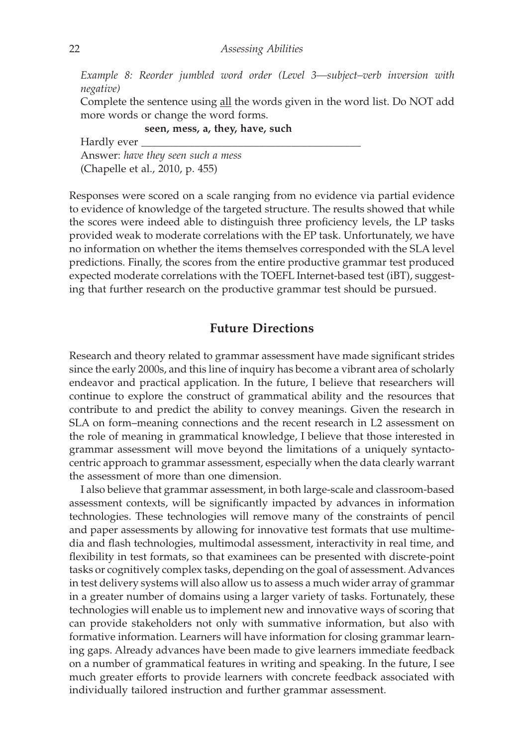*Example 8: Reorder jumbled word order (Level 3—subject–verb inversion with negative)*

Complete the sentence using all the words given in the word list. Do NOT add more words or change the word forms.

**seen, mess, a, they, have, such**

Hardly ever

Answer: *have they seen such a mess*

(Chapelle et al., 2010, p. 455)

Responses were scored on a scale ranging from no evidence via partial evidence to evidence of knowledge of the targeted structure. The results showed that while the scores were indeed able to distinguish three proficiency levels, the LP tasks provided weak to moderate correlations with the EP task. Unfortunately, we have no information on whether the items themselves corresponded with the SLA level predictions. Finally, the scores from the entire productive grammar test produced expected moderate correlations with the TOEFL Internet-based test (iBT), suggesting that further research on the productive grammar test should be pursued.

# **Future Directions**

Research and theory related to grammar assessment have made significant strides since the early 2000s, and this line of inquiry has become a vibrant area of scholarly endeavor and practical application. In the future, I believe that researchers will continue to explore the construct of grammatical ability and the resources that contribute to and predict the ability to convey meanings. Given the research in SLA on form–meaning connections and the recent research in L2 assessment on the role of meaning in grammatical knowledge, I believe that those interested in grammar assessment will move beyond the limitations of a uniquely syntactocentric approach to grammar assessment, especially when the data clearly warrant the assessment of more than one dimension.

I also believe that grammar assessment, in both large-scale and classroom-based assessment contexts, will be significantly impacted by advances in information technologies. These technologies will remove many of the constraints of pencil and paper assessments by allowing for innovative test formats that use multimedia and flash technologies, multimodal assessment, interactivity in real time, and flexibility in test formats, so that examinees can be presented with discrete-point tasks or cognitively complex tasks, depending on the goal of assessment. Advances in test delivery systems will also allow us to assess a much wider array of grammar in a greater number of domains using a larger variety of tasks. Fortunately, these technologies will enable us to implement new and innovative ways of scoring that can provide stakeholders not only with summative information, but also with formative information. Learners will have information for closing grammar learning gaps. Already advances have been made to give learners immediate feedback on a number of grammatical features in writing and speaking. In the future, I see much greater efforts to provide learners with concrete feedback associated with individually tailored instruction and further grammar assessment.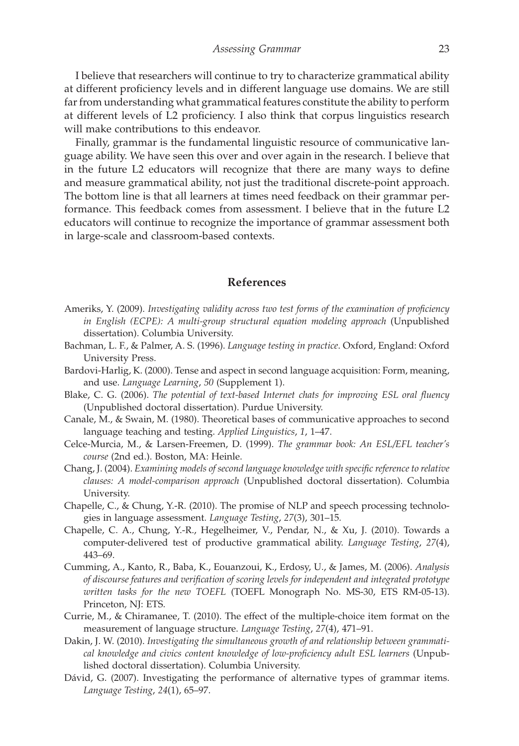I believe that researchers will continue to try to characterize grammatical ability at different proficiency levels and in different language use domains. We are still far from understanding what grammatical features constitute the ability to perform at different levels of L2 proficiency. I also think that corpus linguistics research will make contributions to this endeavor.

Finally, grammar is the fundamental linguistic resource of communicative language ability. We have seen this over and over again in the research. I believe that in the future L2 educators will recognize that there are many ways to define and measure grammatical ability, not just the traditional discrete-point approach. The bottom line is that all learners at times need feedback on their grammar performance. This feedback comes from assessment. I believe that in the future L2 educators will continue to recognize the importance of grammar assessment both in large-scale and classroom-based contexts.

# **References**

- Ameriks, Y. (2009). *Investigating validity across two test forms of the examination of proficiency in English (ECPE): A multi-group structural equation modeling approach* (Unpublished dissertation). Columbia University.
- Bachman, L. F., & Palmer, A. S. (1996). *Language testing in practice*. Oxford, England: Oxford University Press.
- Bardovi-Harlig, K. (2000). Tense and aspect in second language acquisition: Form, meaning, and use. *Language Learning*, *50* (Supplement 1).
- Blake, C. G. (2006). *The potential of text-based Internet chats for improving ESL oral fluency* (Unpublished doctoral dissertation). Purdue University.
- Canale, M., & Swain, M. (1980). Theoretical bases of communicative approaches to second language teaching and testing. *Applied Linguistics*, *1*, 1–47.
- Celce-Murcia, M., & Larsen-Freemen, D. (1999). *The grammar book: An ESL/EFL teacher's course* (2nd ed.). Boston, MA: Heinle.
- Chang, J. (2004). *Examining models of second language knowledge with specific reference to relative clauses: A model-comparison approach* (Unpublished doctoral dissertation). Columbia University.
- Chapelle, C., & Chung, Y.-R. (2010). The promise of NLP and speech processing technologies in language assessment. *Language Testing*, *27*(3), 301–15*.*
- Chapelle, C. A., Chung, Y.-R., Hegelheimer, V., Pendar, N., & Xu, J. (2010). Towards a computer-delivered test of productive grammatical ability. *Language Testing*, *27*(4), 443–69.
- Cumming, A., Kanto, R., Baba, K., Eouanzoui, K., Erdosy, U., & James, M. (2006). *Analysis of discourse features and verification of scoring levels for independent and integrated prototype written tasks for the new TOEFL* (TOEFL Monograph No. MS-30, ETS RM-05-13). Princeton, NJ: ETS.
- Currie, M., & Chiramanee, T. (2010). The effect of the multiple-choice item format on the measurement of language structure. *Language Testing*, *27*(4), 471–91.
- Dakin, J. W. (2010). *Investigating the simultaneous growth of and relationship between grammatical knowledge and civics content knowledge of low-proficiency adult ESL learners* (Unpublished doctoral dissertation). Columbia University.
- Dávid, G. (2007). Investigating the performance of alternative types of grammar items. *Language Testing*, *24*(1), 65–97.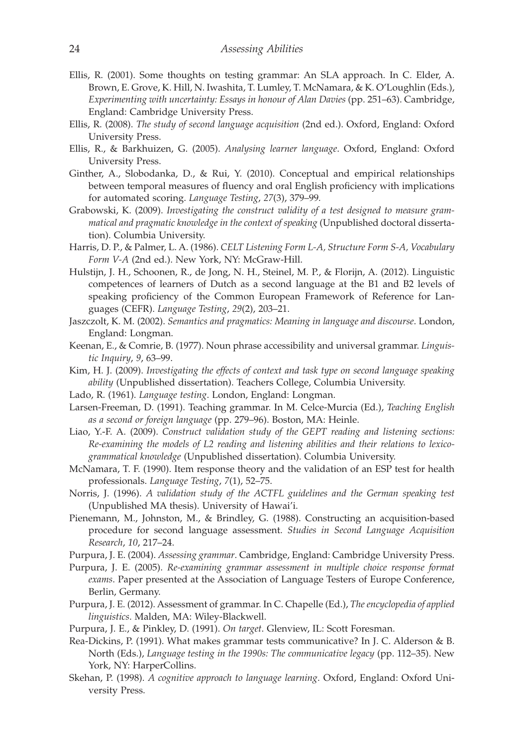- Ellis, R. (2001). Some thoughts on testing grammar: An SLA approach. In C. Elder, A. Brown, E. Grove, K. Hill, N. Iwashita, T. Lumley, T. McNamara, & K. O'Loughlin (Eds.), *Experimenting with uncertainty: Essays in honour of Alan Davies* (pp. 251–63). Cambridge, England: Cambridge University Press.
- Ellis, R. (2008). *The study of second language acquisition* (2nd ed.). Oxford, England: Oxford University Press.
- Ellis, R., & Barkhuizen, G. (2005). *Analysing learner language*. Oxford, England: Oxford University Press.
- Ginther, A., Slobodanka, D., & Rui, Y. (2010). Conceptual and empirical relationships between temporal measures of fluency and oral English proficiency with implications for automated scoring. *Language Testing*, *27*(3), 379–99*.*
- Grabowski, K. (2009). *Investigating the construct validity of a test designed to measure grammatical and pragmatic knowledge in the context of speaking* (Unpublished doctoral dissertation). Columbia University.
- Harris, D. P., & Palmer, L. A. (1986). *CELT Listening Form L-A, Structure Form S-A, Vocabulary*  Form V-A (2nd ed.). New York, NY: McGraw-Hill.
- Hulstijn, J. H., Schoonen, R., de Jong, N. H., Steinel, M. P., & Florijn, A. (2012). Linguistic competences of learners of Dutch as a second language at the B1 and B2 levels of speaking proficiency of the Common European Framework of Reference for Languages (CEFR). *Language Testing*, *29*(2), 203–21.
- Jaszczolt, K. M. (2002). *Semantics and pragmatics: Meaning in language and discourse*. London, England: Longman.
- Keenan, E., & Comrie, B. (1977). Noun phrase accessibility and universal grammar. *Linguistic Inquiry*, *9*, 63–99.
- Kim, H. J. (2009). *Investigating the effects of context and task type on second language speaking ability* (Unpublished dissertation). Teachers College, Columbia University.
- Lado, R. (1961). *Language testing*. London, England: Longman.
- Larsen-Freeman, D. (1991). Teaching grammar. In M. Celce-Murcia (Ed.), *Teaching English as a second or foreign language* (pp. 279–96). Boston, MA: Heinle.
- Liao, Y.-F. A. (2009). *Construct validation study of the GEPT reading and listening sections: Re-examining the models of L2 reading and listening abilities and their relations to lexicogrammatical knowledge* (Unpublished dissertation). Columbia University.
- McNamara, T. F. (1990). Item response theory and the validation of an ESP test for health professionals. *Language Testing*, *7*(1), 52–75.
- Norris, J. (1996). *A validation study of the ACTFL guidelines and the German speaking test* (Unpublished MA thesis). University of Hawai'i.
- Pienemann, M., Johnston, M., & Brindley, G. (1988). Constructing an acquisition-based procedure for second language assessment. *Studies in Second Language Acquisition Research*, *10*, 217–24.
- Purpura, J. E. (2004). *Assessing grammar*. Cambridge, England: Cambridge University Press.
- Purpura, J. E. (2005). *Re-examining grammar assessment in multiple choice response format exams*. Paper presented at the Association of Language Testers of Europe Conference, Berlin, Germany.
- Purpura, J. E. (2012). Assessment of grammar. In C. Chapelle (Ed.), *The encyclopedia of applied linguistics*. Malden, MA: Wiley-Blackwell.

Purpura, J. E., & Pinkley, D. (1991). *On target*. Glenview, IL: Scott Foresman.

- Rea-Dickins, P. (1991). What makes grammar tests communicative? In J. C. Alderson & B. North (Eds.), *Language testing in the 1990s: The communicative legacy* (pp. 112–35). New York, NY: HarperCollins.
- Skehan, P. (1998). *A cognitive approach to language learning*. Oxford, England: Oxford University Press.